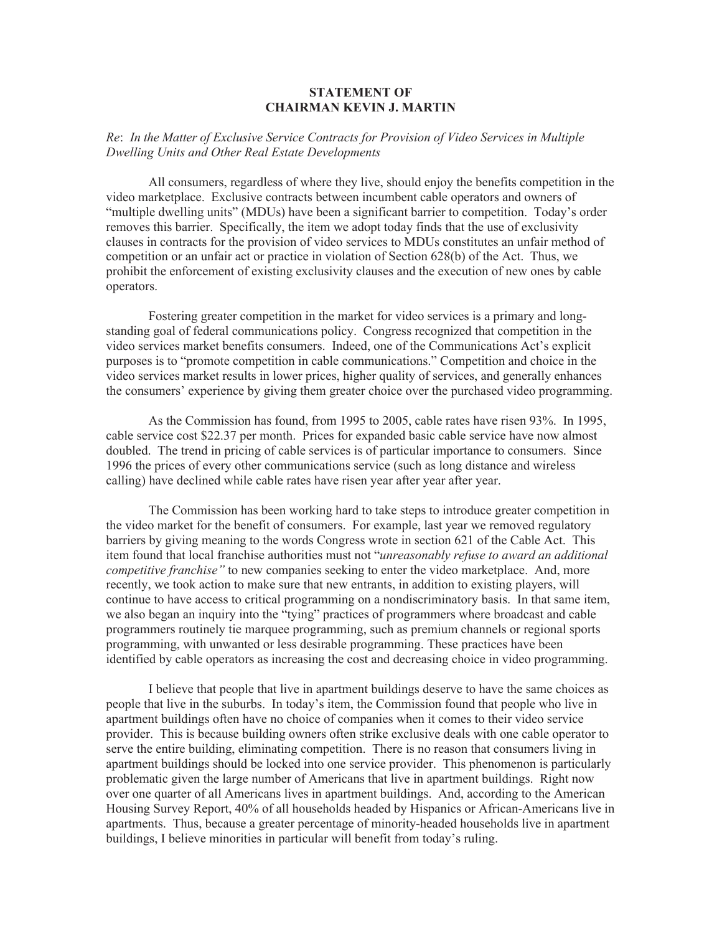## **STATEMENT OF CHAIRMAN KEVIN J. MARTIN**

## *Re*: *In the Matter of Exclusive Service Contracts for Provision of Video Services in Multiple Dwelling Units and Other Real Estate Developments*

All consumers, regardless of where they live, should enjoy the benefits competition in the video marketplace. Exclusive contracts between incumbent cable operators and owners of "multiple dwelling units" (MDUs) have been a significant barrier to competition. Today's order removes this barrier. Specifically, the item we adopt today finds that the use of exclusivity clauses in contracts for the provision of video services to MDUs constitutes an unfair method of competition or an unfair act or practice in violation of Section 628(b) of the Act. Thus, we prohibit the enforcement of existing exclusivity clauses and the execution of new ones by cable operators.

Fostering greater competition in the market for video services is a primary and longstanding goal of federal communications policy. Congress recognized that competition in the video services market benefits consumers. Indeed, one of the Communications Act's explicit purposes is to "promote competition in cable communications." Competition and choice in the video services market results in lower prices, higher quality of services, and generally enhances the consumers' experience by giving them greater choice over the purchased video programming.

As the Commission has found, from 1995 to 2005, cable rates have risen 93%. In 1995, cable service cost \$22.37 per month. Prices for expanded basic cable service have now almost doubled. The trend in pricing of cable services is of particular importance to consumers. Since 1996 the prices of every other communications service (such as long distance and wireless calling) have declined while cable rates have risen year after year after year.

The Commission has been working hard to take steps to introduce greater competition in the video market for the benefit of consumers. For example, last year we removed regulatory barriers by giving meaning to the words Congress wrote in section 621 of the Cable Act. This item found that local franchise authorities must not "*unreasonably refuse to award an additional competitive franchise*" to new companies seeking to enter the video marketplace. And, more recently, we took action to make sure that new entrants, in addition to existing players, will continue to have access to critical programming on a nondiscriminatory basis. In that same item, we also began an inquiry into the "tying" practices of programmers where broadcast and cable programmers routinely tie marquee programming, such as premium channels or regional sports programming, with unwanted or less desirable programming. These practices have been identified by cable operators as increasing the cost and decreasing choice in video programming.

I believe that people that live in apartment buildings deserve to have the same choices as people that live in the suburbs. In today's item, the Commission found that people who live in apartment buildings often have no choice of companies when it comes to their video service provider. This is because building owners often strike exclusive deals with one cable operator to serve the entire building, eliminating competition. There is no reason that consumers living in apartment buildings should be locked into one service provider. This phenomenon is particularly problematic given the large number of Americans that live in apartment buildings. Right now over one quarter of all Americans lives in apartment buildings. And, according to the American Housing Survey Report, 40% of all households headed by Hispanics or African-Americans live in apartments. Thus, because a greater percentage of minority-headed households live in apartment buildings, I believe minorities in particular will benefit from today's ruling.